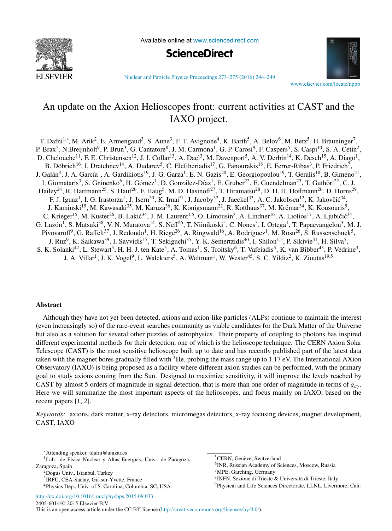





[Nuclear and Particle Physics Proceedings 273–275 \(2016\) 244–249](http://dx.doi.org/10.1016/j.nuclphysbps.2015.09.033)

[www.elsevier.com/locate/nppp](http://www.elsevier.com/locate/nppp)

# An update on the Axion Helioscopes front: current activities at CAST and the IAXO project.

T. Dafni<sup>1,∗</sup>, M. Arik<sup>2</sup>, E. Armengaud<sup>3</sup>, S. Aune<sup>3</sup>, F. T. Avignone<sup>4</sup>, K. Barth<sup>5</sup>, A. Belov<sup>6</sup>, M. Betz<sup>5</sup>, H. Bräuninger<sup>7</sup>, P. Brax<sup>5</sup>, N.Breijnholt<sup>9</sup>, P. Brun<sup>3</sup>, G. Cantatore<sup>8</sup>, J. M. Carmona<sup>1</sup>, G. P. Carosi<sup>9</sup>, F. Caspers<sup>5</sup>, S. Caspi<sup>10</sup>, S. A. Cetin<sup>2</sup>, D. Chelouche<sup>11</sup>, F. E. Christensen<sup>12</sup>, J. I. Collar<sup>13</sup>, A. Dael<sup>3</sup>, M. Davenport<sup>5</sup>, A. V. Derbin<sup>14</sup>, K. Desch<sup>15</sup>, A. Diago<sup>1</sup>, B. Döbrich<sup>16</sup>, I. Dratchnev<sup>14</sup>, A. Dudarev<sup>5</sup>, C. Eleftheriadis<sup>17</sup>, G. Fanourakis<sup>18</sup>, E. Ferrer-Ribas<sup>3</sup>, P. Friedrich<sup>7</sup>, J. Galán<sup>3</sup>, J. A. García<sup>1</sup>, A. Gardikiotis<sup>19</sup>, J. G. Garza<sup>1</sup>, E. N. Gazis<sup>20</sup>, E. Georgiopoulou<sup>19</sup>, T. Geralis<sup>18</sup>, B. Gimeno<sup>21</sup>, I. Giomataris<sup>3</sup>, S. Gninenko<sup>6</sup>, H. Gómez<sup>1</sup>, D. González-Díaz<sup>1</sup>, E. Gruber<sup>22</sup>, E. Guendelman<sup>23</sup>, T. Guthörl<sup>22</sup>, C. J. Hailey<sup>24</sup>, R. Hartmann<sup>25</sup>, S. Hauf<sup>26</sup>, F. Haug<sup>5</sup>, M. D. Hasinoff<sup>27</sup>, T. Hiramatsu<sup>28</sup>, D. H. H. Hoffmann<sup>26</sup>, D. Horns<sup>29</sup>, F. J. Iguaz<sup>1</sup>, I. G. Irastorza<sup>1</sup>, J. Isern<sup>30</sup>, K. Imai<sup>31</sup>, J. Jacoby<sup>32</sup>, J. Jaeckel<sup>33</sup>, A. C. Jakobsen<sup>12</sup>, K. Jakovčić<sup>34</sup>, J. Kaminski<sup>15</sup>, M. Kawasaki<sup>35</sup>, M. Karuza<sup>36</sup>, K. Königsmann<sup>22</sup>, R. Kotthaus<sup>37</sup>, M. Krčmar<sup>34</sup>, K. Kousouris<sup>5</sup>, C. Krieger<sup>15</sup>, M. Kuster<sup>26</sup>, B. Lakić<sup>34</sup>, J. M. Laurent<sup>1,5</sup>, O. Limousin<sup>3</sup>, A. Lindner<sup>16</sup>, A. Liolios<sup>17</sup>, A. Ljubičić<sup>34</sup>, G. Luzón<sup>1</sup>, S. Matsuki<sup>38</sup>, V. N. Muratova<sup>14</sup>, S. Neff<sup>26</sup>, T. Niinikoski<sup>5</sup>, C. Nones<sup>3</sup>, I. Ortega<sup>1</sup>, T. Papaevangelou<sup>3</sup>, M. J. Pivovaroff<sup>9</sup>, G. Raffelt<sup>37</sup>, J. Redondo<sup>1</sup>, H. Riege<sup>26</sup>, A. Ringwald<sup>16</sup>, A. Rodríguez<sup>1</sup>, M. Rosu<sup>26</sup>, S. Russenschuck<sup>5</sup>, J. Ruz<sup>9</sup>, K. Saikawa<sup>39</sup>, I. Savvidis<sup>17</sup>, T. Sekiguchi<sup>35</sup>, Y. K. Semertzidis<sup>40</sup>, I. Shilon<sup>1,5</sup>, P. Sikivie<sup>41</sup>, H. Silva<sup>5</sup>, S. K. Solanki<sup>42</sup>, L. Stewart<sup>5</sup>, H. H. J. ten Kate<sup>5</sup>, A. Tomas<sup>1</sup>, S. Troitsky<sup>6</sup>, T. Vafeiadis<sup>5</sup>, K. van Bibber<sup>43</sup>, P. Vedrine<sup>3</sup>, J. A. Villar<sup>1</sup>, J. K. Vogel<sup>9</sup>, L. Walckiers<sup>5</sup>, A. Weltman<sup>1</sup>, W. Wester<sup>45</sup>, S. C. Yildiz<sup>2</sup>, K. Zioutas<sup>19,5</sup>

# Abstract

Although they have not yet been detected, axions and axion-like particles (ALPs) continue to maintain the interest (even increasingly so) of the rare-event searches community as viable candidates for the Dark Matter of the Universe but also as a solution for several other puzzles of astrophysics. Their property of coupling to photons has inspired different experimental methods for their detection, one of which is the helioscope technique. The CERN Axion Solar Telescope (CAST) is the most sensitive helioscope built up to date and has recently published part of the latest data taken with the magnet bores gradually filled with  ${}^{3}$ He, probing the mass range up to 1.17 eV. The International AXion Observatory (IAXO) is being proposed as a facility where different axion studies can be performed, with the primary goal to study axions coming from the Sun. Designed to maximize sensitivity, it will improve the levels reached by CAST by almost 5 orders of magnitude in signal detection, that is more than one order of magnitude in terms of *ga*γ. Here we will summarize the most important aspects of the helioscopes, and focus mainly on IAXO, based on the recent papers [1, 2].

*Keywords:* axions, dark matter, x-ray detectors, micromegas detectors, x-ray focusing devices, magnet development, CAST, IAXO

7MPE, Garching, Germany

2405-6014/© 2015 Elsevier B.V. <http://dx.doi.org/10.1016/j.nuclphysbps.2015.09.033>

<sup>∗</sup>Attending speaker. tdafni@unizar.es

<sup>&</sup>lt;sup>1</sup>Lab. de Física Nuclear y Altas Energías, Univ. de Zaragoza, Zaragoza, Spain

<sup>2</sup>Dogus Univ., Istanbul, Turkey

<sup>3</sup>IRFU, CEA-Saclay, Gif-sur-Yvette, France

<sup>4</sup>Physics Dep., Univ. of S. Carolina, Columbia, SC, USA

<sup>&</sup>lt;sup>5</sup>CERN, Genève, Switzerland

<sup>6</sup>INR, Russian Academy of Sciences, Moscow, Russia

<sup>8</sup>INFN, Sezione di Trieste & Universita di Trieste, Italy `

<sup>9</sup>Physical and Life Sciences Directorate, LLNL, Livermore, Cali-

This is an open access article under the CC BY license [\(http://creativecommons.org/licenses/by/4.0/\)](http://creativecommons.org/licenses/by/4.0/).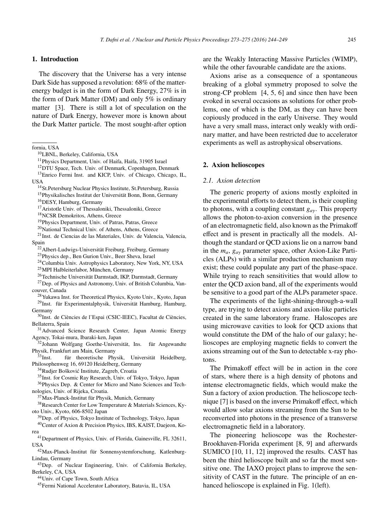#### *T. Dafni et al. / Nuclear and Particle Physics Proceedings 273–275 (2016) 244–249* 245

## 1. Introduction

The discovery that the Universe has a very intense Dark Side has supposed a revolution: 68% of the matterenergy budget is in the form of Dark Energy, 27% is in the form of Dark Matter (DM) and only 5% is ordinary matter [3]. There is still a lot of speculation on the nature of Dark Energy, however more is known about the Dark Matter particle. The most sought-after option

11Physics Department, Univ. of Haifa, Haifa, 31905 Israel

<sup>12</sup>DTU Space, Tech. Univ. of Denmark, Copenhagen, Denmark 13Enrico Fermi Inst. and KICP, Univ. of Chicago, Chicago, IL,

USA<br><sup>14</sup>St.Petersburg Nuclear Physics Institute, St.Petersburg, Russia

<sup>15</sup>Physikalisches Institut der Universität Bonn, Bonn, Germany 16DESY, Hamburg, Germany

17Aristotle Univ. of Thessaloniki, Thessaloniki, Greece

18NCSR Demokritos, Athens, Greece

19Physics Department, Univ. of Patras, Patras, Greece

20National Technical Univ. of Athens, Athens, Greece

21Inst. de Ciencias de las Materiales, Univ. de Valencia, Valencia, Spain

<sup>22</sup> Albert-Ludwigs-Universität Freiburg, Freiburg, Germany

23Physics dep., Ben Gurion Univ., Beer Sheva, Israel

24Columbia Univ. Astrophysics Laboratory, New York, NY, USA <sup>25</sup>MPI Halbleiterlabor, München, Germany

<sup>26</sup>Technische Universität Darmstadt, IKP, Darmstadt, Germany

27Dep. of Physics and Astronomy, Univ. of British Columbia, Vancouver, Canada

28Yukawa Inst. for Theoretical Physics, Kyoto Univ., Kyoto, Japan  $29$ Inst. für Experimentalphysik, Universität Hamburg, Hamburg, Germany

 $30$ Inst. de Ciències de l'Espai (CSIC-IEEC), Facultat de Ciències, Bellaterra, Spain

31Advanced Science Research Center, Japan Atomic Energy Agency, Tokai-mura, Ibaraki-ken, Japan

32Johann Wolfgang Goethe-Universität, Ins. für Angewandte Physik, Frankfurt am Main, Germany

für theoretische Physik, Universität Heidelberg, Philosophenweg 16, 69120 Heidelberg, Germany

<sup>34</sup>Rudjer Bošković Institute, Zagreb, Croatia

<sup>35</sup>Inst. for Cosmic Ray Research, Univ. of Tokyo, Tokyo, Japan

36Physics Dep. & Center for Micro and Nano Sciences and Technologies, Univ. of Rijeka, Croatia.

 $37$ Max-Planck-Institut für Physik, Munich, Germany

38Research Center for Low Temperature & Materials Sciences, Kyoto Univ., Kyoto, 606-8502 Japan

<sup>39</sup>Dep. of Physics, Tokyo Institute of Technology, Tokyo, Japan

40Center of Axion & Precision Physics, IBS, KAIST, Daejeon, Ko-

rea<br><sup>41</sup>Department of Physics, Univ. of Florida, Gainesville, FL 32611, USA<br> $42$ Max-Planck-Institut für Sonnensystemforschung, Katlenburg-

Lindau, Germany

43Dep. of Nuclear Engineering, Univ. of California Berkeley, Berkeley, CA, USA

44Univ. of Cape Town, South Africa

45Fermi National Accelerator Laboratory, Batavia, IL, USA

are the Weakly Interacting Massive Particles (WIMP), while the other favourable candidate are the axions.

Axions arise as a consequence of a spontaneous breaking of a global symmetry proposed to solve the strong-CP problem [4, 5, 6] and since then have been evoked in several occasions as solutions for other problems, one of which is the DM, as they can have been copiously produced in the early Universe. They would have a very small mass, interact only weakly with ordinary matter, and have been restricted due to accelerator experiments as well as astrophysical observations.

# 2. Axion helioscopes

#### *2.1. Axion detection*

The generic property of axions mostly exploited in the experimental efforts to detect them, is their coupling to photons, with a coupling constant *ga*γ. This property allows the photon-to-axion conversion in the presence of an electromagnetic field, also known as the Primakoff effect and is present in practically all the models. Although the standard or QCD axions lie on a narrow band in the *ma*, *ga*<sup>γ</sup> parameter space, other Axion-Like Particles (ALPs) with a similar production mechanism may exist; these could populate any part of the phase-space. While trying to reach sensitivities that would allow to enter the QCD axion band, all of the experiments would be sensitive to a good part of the ALPs parameter space.

The experiments of the light-shining-through-a-wall type, are trying to detect axions and axion-like particles created in the same laboratory frame. Haloscopes are using microwave cavities to look for QCD axions that would constitute the DM of the halo of our galaxy; helioscopes are employing magnetic fields to convert the axions streaming out of the Sun to detectable x-ray photons.

The Primakoff effect will be in action in the core of stars, where there is a high density of photons and intense electromagnetic fields, which would make the Sun a factory of axion production. The helioscope technique [7] is based on the inverse Primakoff effect, which would allow solar axions streaming from the Sun to be reconverted into photons in the presence of a transverse electromagnetic field in a laboratory.

The pioneering helioscope was the Rochester-Brookhaven-Florida experiment [8, 9] and afterwards SUMICO [10, 11, 12] improved the results. CAST has been the third helioscope built and so far the most sensitive one. The IAXO project plans to improve the sensitivity of CAST in the future. The principle of an enhanced helioscope is explained in Fig. 1(left).

fornia, USA

<sup>10</sup>LBNL, Berkeley, California, USA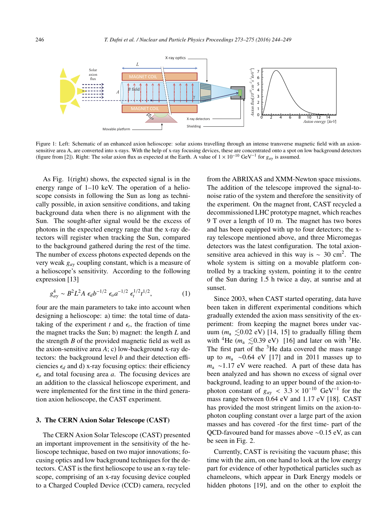

Figure 1: Left: Schematic of an enhanced axion helioscope: solar axions travelling through an intense transverse magnetic field with an axionsensitive area A, are converted into x-rays. With the help of x-ray focusing devices, these are concentrated onto a spot on low background detectors (figure from [2]). Right: The solar axion flux as expected at the Earth. A value of  $1 \times 10^{-10}$  GeV<sup>-1</sup> for  $g_{\alpha\gamma}$  is assumed.

As Fig. 1(right) shows, the expected signal is in the energy range of 1–10 keV. The operation of a helioscope consists in following the Sun as long as technically possible, in axion sensitive conditions, and taking background data when there is no alignment with the Sun. The sought-after signal would be the excess of photons in the expected energy range that the x-ray detectors will register when tracking the Sun, compared to the background gathered during the rest of the time. The number of excess photons expected depends on the very weak *ga*<sup>γ</sup> coupling constant, which is a measure of a helioscope's sensitivity. According to the following expression [13]

$$
g_{a\gamma}^4 \sim B^2 L^2 A \ \epsilon_d b^{-1/2} \ \epsilon_o a^{-1/2} \ \epsilon_t^{1/2} t^{1/2}, \tag{1}
$$

four are the main parameters to take into account when designing a helioscope: a) time: the total time of datataking of the experiment  $t$  and  $\epsilon_t$ , the fraction of time the magnet tracks the Sun; b) magnet: the length *L* and the strength *B* of the provided magnetic field as well as the axion-sensitive area *A*; c) low-background x-ray detectors: the background level *b* and their detection efficiencies  $\epsilon_d$  and d) x-ray focusing optics: their efficiency  $\epsilon_0$  and total focusing area *a*. The focusing devices are an addition to the classical helioscope experiment, and were implemented for the first time in the third generation axion helioscope, the CAST experiment.

#### 3. The CERN Axion Solar Telescope (CAST)

The CERN Axion Solar Telescope (CAST) presented an important improvement in the sensitivity of the helioscope technique, based on two major innovations; focusing optics and low background techniques for the detectors. CAST is the first helioscope to use an x-ray telescope, comprising of an x-ray focusing device coupled to a Charged Coupled Device (CCD) camera, recycled

from the ABRIXAS and XMM-Newton space missions. The addition of the telescope improved the signal-tonoise ratio of the system and therefore the sensitivity of the experiment. On the magnet front, CAST recycled a decommissioned LHC prototype magnet, which reaches 9 T over a length of 10 m. The magnet has two bores and has been equipped with up to four detectors; the xray telescope mentioned above, and three Micromegas detectors was the latest configuration. The total axionsensitive area achieved in this way is  $\sim$  30 cm<sup>2</sup>. The whole system is sitting on a movable platform controlled by a tracking system, pointing it to the centre of the Sun during 1.5 h twice a day, at sunrise and at sunset.

Since 2003, when CAST started operating, data have been taken in different experimental conditions which gradually extended the axion mass sensitivity of the experiment: from keeping the magnet bores under vacuum ( $m_a \lesssim 0.02$  eV) [14, 15] to gradually filling them with <sup>4</sup>He ( $m_a \lesssim 0.39$  eV) [16] and later on with <sup>3</sup>He. The first part of the  $3$ He data covered the mass range up to *m*<sup>a</sup> ∼0.64 eV [17] and in 2011 masses up to *m*<sub>a</sub> ∼1.17 eV were reached. A part of these data has been analyzed and has shown no excess of signal over background, leading to an upper bound of the axion-tophoton constant of  $g_{av}$  < 3.3 × 10<sup>-10</sup> GeV<sup>-1</sup> for the mass range between 0.64 eV and 1.17 eV [18]. CAST has provided the most stringent limits on the axion-tophoton coupling constant over a large part of the axion masses and has covered -for the first time- part of the QCD-favoured band for masses above ∼0.15 eV, as can be seen in Fig. 2.

Currently, CAST is revisiting the vacuum phase; this time with the aim, on one hand to look at the low energy part for evidence of other hypothetical particles such as chameleons, which appear in Dark Energy models or hidden photons [19], and on the other to exploit the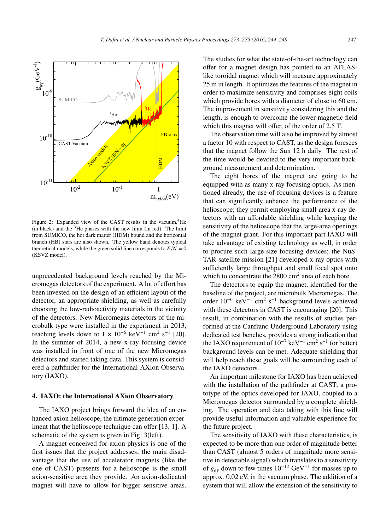

Figure 2: Expanded view of the CAST results in the vacuum,  ${}^{4}$ He (in black) and the  $3$ He phases with the new limit (in red). The limit from SUMICO, the hot dark matter (HDM) bound and the horizontal branch (HB) stars are also shown. The yellow band denotes typical theoretical models, while the green solid line corresponds to  $E/N = 0$ (KSVZ model).

unprecedented background levels reached by the Micromegas detectors of the experiment. A lot of effort has been invested on the design of an efficient layout of the detector, an appropriate shielding, as well as carefully choosing the low-radioactivity materials in the vicinity of the detectors. New Micromegas detectors of the microbulk type were installed in the experiment in 2013, reaching levels down to  $1 \times 10^{-6}$  keV<sup>-1</sup> cm<sup>2</sup> s<sup>-1</sup> [20]. In the summer of 2014, a new x-ray focusing device was installed in front of one of the new Micromegas detectors and started taking data. This system is considered a pathfinder for the International AXion Observatory (IAXO).

## 4. IAXO: the International AXion Observatory

The IAXO project brings forward the idea of an enhanced axion helioscope, the ultimate generation experiment that the helioscope technique can offer [13, 1]. A schematic of the system is given in Fig. 3(left).

A magnet conceived for axion physics is one of the first issues that the project addresses; the main disadvantage that the use of accelerator magnets (like the one of CAST) presents for a helioscope is the small axion-sensitive area they provide. An axion-dedicated magnet will have to allow for bigger sensitive areas. The studies for what the state-of-the-art technology can offer for a magnet design has pointed to an ATLASlike toroidal magnet which will measure approximately 25 m in length. It optimizes the features of the magnet in order to maximize sensitivity and comprises eight coils which provide bores with a diameter of close to 60 cm. The improvement in sensitivity considering this and the length, is enough to overcome the lower magnetic field which this magnet will offer, of the order of 2.5 T.

The observation time will also be improved by almost a factor 10 with respect to CAST, as the design foresees that the magnet follow the Sun 12 h daily. The rest of the time would be devoted to the very important background measurement and determination.

The eight bores of the magnet are going to be equipped with as many x-ray focusing optics. As mentioned already, the use of focusing devices is a feature that can significantly enhance the performance of the helioscope; they permit employing small-area x-ray detectors with an affordable shielding while keeping the sensitivity of the helioscope that the large-area openings of the magnet grant. For this important part IAXO will take advantage of existing technology as well, in order to procure such large-size focusing devices; the NuS-TAR satellite mission [21] developed x-ray optics with sufficiently large throughput and small focal spot onto which to concentrate the  $2800 \text{ cm}^2$  area of each bore.

The detectors to equip the magnet, identified for the baseline of the project, are microbulk Micromegas. The order  $10^{-6}$  keV<sup>-1</sup> cm<sup>2</sup> s<sup>-1</sup> background levels achieved with these detectors in CAST is encouraging [20]. This result, in combination with the results of studies performed at the Canfranc Underground Laboratory using dedicated test benches, provides a strong indication that the IAXO requirement of  $10^{-7}$  keV<sup>-1</sup> cm<sup>2</sup> s<sup>-1</sup> (or better) background levels can be met. Adequate shielding that will help reach these goals will be surrounding each of the IAXO detectors.

An important milestone for IAXO has been achieved with the installation of the pathfinder at CAST; a prototype of the optics developed for IAXO, coupled to a Micromegas detector surrounded by a complete shielding. The operation and data taking with this line will provide useful information and valuable experience for the future project.

The sensitivity of IAXO with these characteristics, is expected to be more than one order of magnitude better than CAST (almost 5 orders of magnitude more sensitive in detectable signal) which translates to a sensitivity of  $g_{\alpha\nu}$  down to few times 10<sup>-12</sup> GeV<sup>-1</sup> for masses up to approx. 0.02 eV, in the vacuum phase. The addition of a system that will allow the extension of the sensitivity to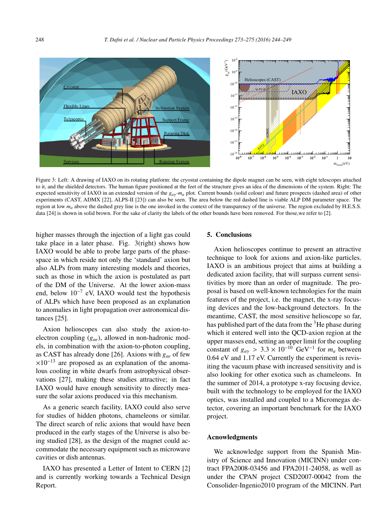

Figure 3: Left: A drawing of IAXO on its rotating platform: the cryostat containing the dipole magnet can be seen, with eight telescopes attached to it, and the shielded detectors. The human figure positioned at the feet of the structure gives an idea of the dimensions of the system. Right: The expected sensitivity of IAXO in an extended version of the *ga*γ-*ma* plot. Current bounds (solid colour) and future prospects (dashed area) of other experiments (CAST, ADMX [22], ALPS-II [23]) can also be seen. The area below the red dashed line is viable ALP DM parameter space. The region at low  $m_a$  above the dashed grey line is the one invoked in the context of the transparency of the universe. The region excluded by H.E.S.S. data [24] is shown in solid brown. For the sake of clarity the labels of the other bounds have been removed. For those,we refer to [2].

higher masses through the injection of a light gas could take place in a later phase. Fig. 3(right) shows how IAXO would be able to probe large parts of the phasespace in which reside not only the 'standard' axion but also ALPs from many interesting models and theories, such as those in which the axion is postulated as part of the DM of the Universe. At the lower axion-mass end, below 10−<sup>7</sup> eV, IAXO would test the hypothesis of ALPs which have been proposed as an explanation to anomalies in light propagation over astronomical distances [25].

Axion helioscopes can also study the axion-toelectron coupling (*gae*), allowed in non-hadronic models, in combination with the axion-to-photon coupling, as CAST has already done [26]. Axions with *gae* of few  $\times 10^{-13}$  are proposed as an explanation of the anomalous cooling in white dwarfs from astrophysical observations [27], making these studies attractive; in fact IAXO would have enough sensitivity to directly measure the solar axions produced via this mechanism.

As a generic search facility, IAXO could also serve for studies of hidden photons, chameleons or similar. The direct search of relic axions that would have been produced in the early stages of the Universe is also being studied [28], as the design of the magnet could accommodate the necessary equipment such as microwave cavities or dish antennas.

IAXO has presented a Letter of Intent to CERN [2] and is currently working towards a Technical Design Report.

## 5. Conclusions

Axion helioscopes continue to present an attractive technique to look for axions and axion-like particles. IAXO is an ambitious project that aims at building a dedicated axion facility, that will surpass current sensitivities by more than an order of magnitude. The proposal is based on well-known technologies for the main features of the project, i.e. the magnet, the x-ray focusing devices and the low-background detectors. In the meantime, CAST, the most sensitive helioscope so far, has published part of the data from the  $3$ He phase during which it entered well into the QCD-axion region at the upper masses end, setting an upper limit for the coupling constant of  $g_{\alpha\gamma} > 3.3 \times 10^{-10}$  GeV<sup>-1</sup> for  $m_a$  between 0.64 eV and 1.17 eV. Currently the experiment is revisiting the vacuum phase with increased sensitivity and is also looking for other exotica such as chameleons. In the summer of 2014, a prototype x-ray focusing device, built with the technology to be employed for the IAXO optics, was installed and coupled to a Micromegas detector, covering an important benchmark for the IAXO project.

## Acnowledgments

We acknowledge support from the Spanish Ministry of Science and Innovation (MICINN) under contract FPA2008-03456 and FPA2011-24058, as well as under the CPAN project CSD2007-00042 from the Consolider-Ingenio2010 program of the MICINN. Part